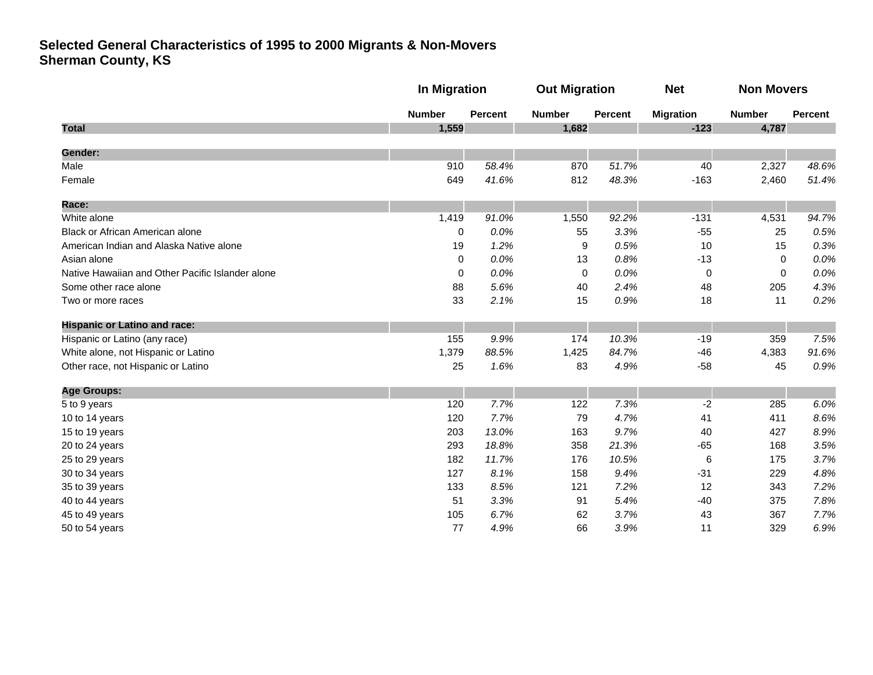|                                                  |               | In Migration   |               | <b>Out Migration</b> |                  | <b>Non Movers</b> |         |
|--------------------------------------------------|---------------|----------------|---------------|----------------------|------------------|-------------------|---------|
|                                                  | <b>Number</b> | <b>Percent</b> | <b>Number</b> | <b>Percent</b>       | <b>Migration</b> | <b>Number</b>     | Percent |
| <b>Total</b>                                     | 1,559         |                | 1,682         |                      | $-123$           | 4,787             |         |
| Gender:                                          |               |                |               |                      |                  |                   |         |
| Male                                             | 910           | 58.4%          | 870           | 51.7%                | 40               | 2,327             | 48.6%   |
| Female                                           | 649           | 41.6%          | 812           | 48.3%                | $-163$           | 2,460             | 51.4%   |
| <b>Race:</b>                                     |               |                |               |                      |                  |                   |         |
| White alone                                      | 1,419         | 91.0%          | 1,550         | 92.2%                | $-131$           | 4,531             | 94.7%   |
| Black or African American alone                  | $\mathbf 0$   | 0.0%           | 55            | 3.3%                 | $-55$            | 25                | 0.5%    |
| American Indian and Alaska Native alone          | 19            | 1.2%           | 9             | 0.5%                 | 10               | 15                | 0.3%    |
| Asian alone                                      | 0             | 0.0%           | 13            | 0.8%                 | $-13$            | $\Omega$          | 0.0%    |
| Native Hawaiian and Other Pacific Islander alone | 0             | 0.0%           | 0             | 0.0%                 | 0                | $\mathbf 0$       | 0.0%    |
| Some other race alone                            | 88            | 5.6%           | 40            | 2.4%                 | 48               | 205               | 4.3%    |
| Two or more races                                | 33            | 2.1%           | 15            | 0.9%                 | 18               | 11                | 0.2%    |
| <b>Hispanic or Latino and race:</b>              |               |                |               |                      |                  |                   |         |
| Hispanic or Latino (any race)                    | 155           | 9.9%           | 174           | 10.3%                | $-19$            | 359               | 7.5%    |
| White alone, not Hispanic or Latino              | 1,379         | 88.5%          | 1,425         | 84.7%                | $-46$            | 4,383             | 91.6%   |
| Other race, not Hispanic or Latino               | 25            | 1.6%           | 83            | 4.9%                 | $-58$            | 45                | 0.9%    |
| <b>Age Groups:</b>                               |               |                |               |                      |                  |                   |         |
| 5 to 9 years                                     | 120           | 7.7%           | 122           | 7.3%                 | $-2$             | 285               | 6.0%    |
| 10 to 14 years                                   | 120           | 7.7%           | 79            | 4.7%                 | 41               | 411               | 8.6%    |
| 15 to 19 years                                   | 203           | 13.0%          | 163           | 9.7%                 | 40               | 427               | 8.9%    |
| 20 to 24 years                                   | 293           | 18.8%          | 358           | 21.3%                | $-65$            | 168               | 3.5%    |
| 25 to 29 years                                   | 182           | 11.7%          | 176           | 10.5%                | 6                | 175               | 3.7%    |
| 30 to 34 years                                   | 127           | 8.1%           | 158           | 9.4%                 | $-31$            | 229               | 4.8%    |
| 35 to 39 years                                   | 133           | 8.5%           | 121           | 7.2%                 | 12               | 343               | 7.2%    |
| 40 to 44 years                                   | 51            | 3.3%           | 91            | 5.4%                 | $-40$            | 375               | 7.8%    |
| 45 to 49 years                                   | 105           | 6.7%           | 62            | 3.7%                 | 43               | 367               | 7.7%    |
| 50 to 54 years                                   | 77            | 4.9%           | 66            | 3.9%                 | 11               | 329               | 6.9%    |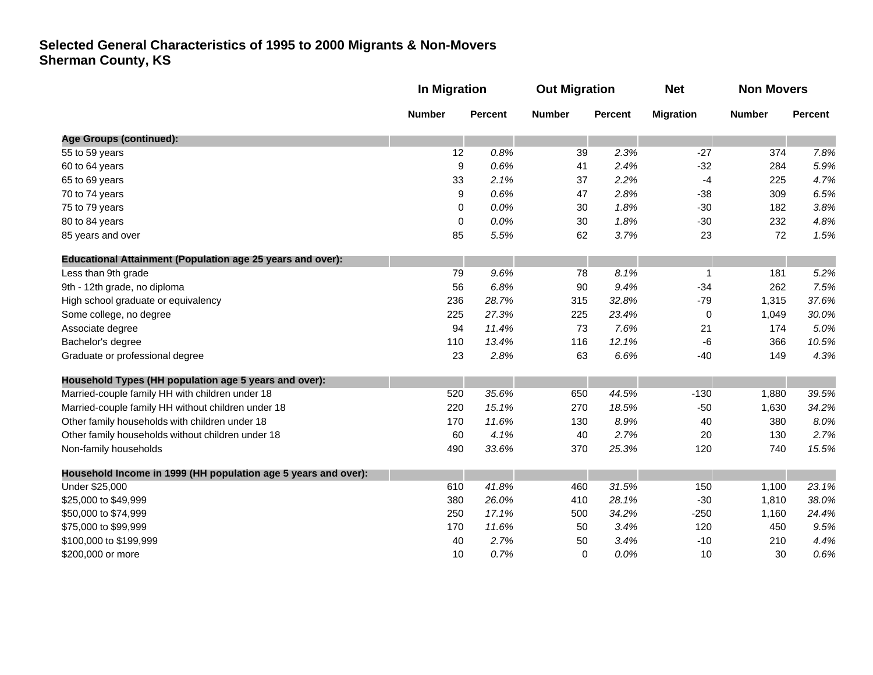|                                                                   | In Migration  |                | <b>Out Migration</b> |                | <b>Net</b>       | <b>Non Movers</b> |                |
|-------------------------------------------------------------------|---------------|----------------|----------------------|----------------|------------------|-------------------|----------------|
|                                                                   | <b>Number</b> | <b>Percent</b> | <b>Number</b>        | <b>Percent</b> | <b>Migration</b> | <b>Number</b>     | <b>Percent</b> |
| <b>Age Groups (continued):</b>                                    |               |                |                      |                |                  |                   |                |
| 55 to 59 years                                                    | 12            | 0.8%           | 39                   | 2.3%           | $-27$            | 374               | 7.8%           |
| 60 to 64 years                                                    | 9             | 0.6%           | 41                   | 2.4%           | $-32$            | 284               | 5.9%           |
| 65 to 69 years                                                    | 33            | 2.1%           | 37                   | 2.2%           | $-4$             | 225               | 4.7%           |
| 70 to 74 years                                                    | 9             | 0.6%           | 47                   | 2.8%           | $-38$            | 309               | 6.5%           |
| 75 to 79 years                                                    | 0             | 0.0%           | 30                   | 1.8%           | $-30$            | 182               | 3.8%           |
| 80 to 84 years                                                    | 0             | 0.0%           | 30                   | 1.8%           | $-30$            | 232               | 4.8%           |
| 85 years and over                                                 | 85            | 5.5%           | 62                   | 3.7%           | 23               | 72                | 1.5%           |
| <b>Educational Attainment (Population age 25 years and over):</b> |               |                |                      |                |                  |                   |                |
| Less than 9th grade                                               | 79            | 9.6%           | 78                   | 8.1%           | $\mathbf 1$      | 181               | 5.2%           |
| 9th - 12th grade, no diploma                                      | 56            | 6.8%           | 90                   | 9.4%           | $-34$            | 262               | 7.5%           |
| High school graduate or equivalency                               | 236           | 28.7%          | 315                  | 32.8%          | $-79$            | 1,315             | 37.6%          |
| Some college, no degree                                           | 225           | 27.3%          | 225                  | 23.4%          | 0                | 1,049             | 30.0%          |
| Associate degree                                                  | 94            | 11.4%          | 73                   | 7.6%           | 21               | 174               | 5.0%           |
| Bachelor's degree                                                 | 110           | 13.4%          | 116                  | 12.1%          | $-6$             | 366               | 10.5%          |
| Graduate or professional degree                                   | 23            | 2.8%           | 63                   | 6.6%           | $-40$            | 149               | 4.3%           |
| Household Types (HH population age 5 years and over):             |               |                |                      |                |                  |                   |                |
| Married-couple family HH with children under 18                   | 520           | 35.6%          | 650                  | 44.5%          | $-130$           | 1,880             | 39.5%          |
| Married-couple family HH without children under 18                | 220           | 15.1%          | 270                  | 18.5%          | $-50$            | 1,630             | 34.2%          |
| Other family households with children under 18                    | 170           | 11.6%          | 130                  | 8.9%           | 40               | 380               | 8.0%           |
| Other family households without children under 18                 | 60            | 4.1%           | 40                   | 2.7%           | 20               | 130               | 2.7%           |
| Non-family households                                             | 490           | 33.6%          | 370                  | 25.3%          | 120              | 740               | 15.5%          |
| Household Income in 1999 (HH population age 5 years and over):    |               |                |                      |                |                  |                   |                |
| Under \$25,000                                                    | 610           | 41.8%          | 460                  | 31.5%          | 150              | 1,100             | 23.1%          |
| \$25,000 to \$49,999                                              | 380           | 26.0%          | 410                  | 28.1%          | $-30$            | 1,810             | 38.0%          |
| \$50,000 to \$74,999                                              | 250           | 17.1%          | 500                  | 34.2%          | $-250$           | 1,160             | 24.4%          |
| \$75,000 to \$99,999                                              | 170           | 11.6%          | 50                   | 3.4%           | 120              | 450               | 9.5%           |
| \$100,000 to \$199,999                                            | 40            | 2.7%           | 50                   | 3.4%           | $-10$            | 210               | 4.4%           |
| \$200,000 or more                                                 | 10            | 0.7%           | 0                    | 0.0%           | 10               | 30                | 0.6%           |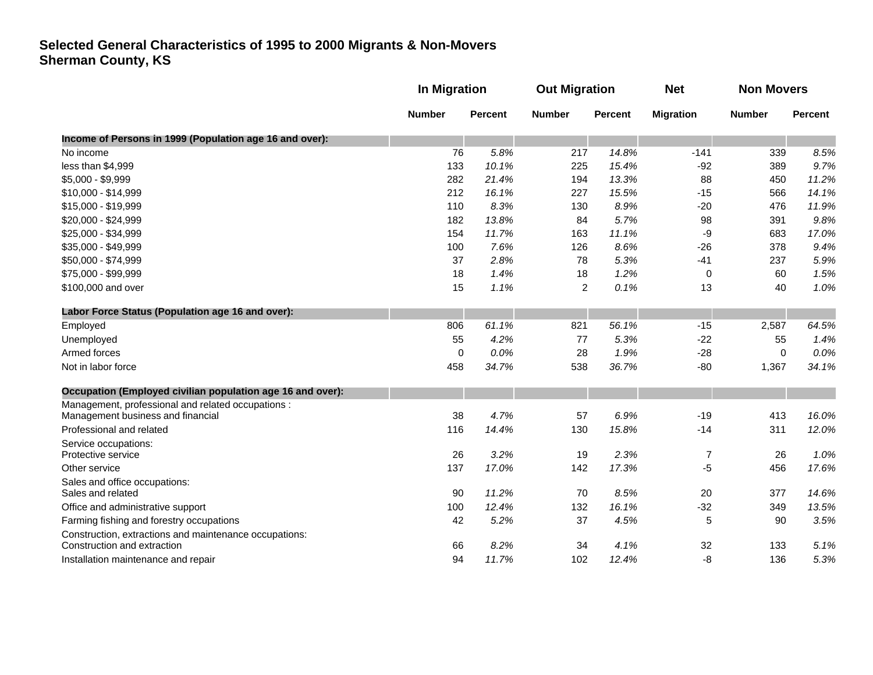|                                                                                       |               | In Migration   |                | <b>Out Migration</b> |                  | <b>Non Movers</b> |                |
|---------------------------------------------------------------------------------------|---------------|----------------|----------------|----------------------|------------------|-------------------|----------------|
|                                                                                       | <b>Number</b> | <b>Percent</b> | <b>Number</b>  | <b>Percent</b>       | <b>Migration</b> | <b>Number</b>     | <b>Percent</b> |
| Income of Persons in 1999 (Population age 16 and over):                               |               |                |                |                      |                  |                   |                |
| No income                                                                             | 76            | 5.8%           | 217            | 14.8%                | $-141$           | 339               | 8.5%           |
| less than \$4,999                                                                     | 133           | 10.1%          | 225            | 15.4%                | $-92$            | 389               | 9.7%           |
| \$5,000 - \$9,999                                                                     | 282           | 21.4%          | 194            | 13.3%                | 88               | 450               | 11.2%          |
| \$10,000 - \$14,999                                                                   | 212           | 16.1%          | 227            | 15.5%                | $-15$            | 566               | 14.1%          |
| \$15,000 - \$19,999                                                                   | 110           | 8.3%           | 130            | 8.9%                 | $-20$            | 476               | 11.9%          |
| \$20,000 - \$24,999                                                                   | 182           | 13.8%          | 84             | 5.7%                 | 98               | 391               | 9.8%           |
| \$25,000 - \$34,999                                                                   | 154           | 11.7%          | 163            | 11.1%                | $-9$             | 683               | 17.0%          |
| \$35,000 - \$49,999                                                                   | 100           | 7.6%           | 126            | 8.6%                 | $-26$            | 378               | 9.4%           |
| \$50,000 - \$74,999                                                                   | 37            | 2.8%           | 78             | 5.3%                 | $-41$            | 237               | 5.9%           |
| \$75,000 - \$99,999                                                                   | 18            | 1.4%           | 18             | 1.2%                 | 0                | 60                | 1.5%           |
| \$100,000 and over                                                                    | 15            | 1.1%           | $\overline{2}$ | 0.1%                 | 13               | 40                | 1.0%           |
| Labor Force Status (Population age 16 and over):                                      |               |                |                |                      |                  |                   |                |
| Employed                                                                              | 806           | 61.1%          | 821            | 56.1%                | $-15$            | 2,587             | 64.5%          |
| Unemployed                                                                            | 55            | 4.2%           | 77             | 5.3%                 | $-22$            | 55                | 1.4%           |
| Armed forces                                                                          | $\mathbf 0$   | 0.0%           | 28             | 1.9%                 | $-28$            | $\mathbf 0$       | 0.0%           |
| Not in labor force                                                                    | 458           | 34.7%          | 538            | 36.7%                | $-80$            | 1,367             | 34.1%          |
| Occupation (Employed civilian population age 16 and over):                            |               |                |                |                      |                  |                   |                |
| Management, professional and related occupations :                                    |               |                |                |                      |                  |                   |                |
| Management business and financial                                                     | 38            | 4.7%           | 57             | 6.9%                 | $-19$            | 413               | 16.0%          |
| Professional and related                                                              | 116           | 14.4%          | 130            | 15.8%                | $-14$            | 311               | 12.0%          |
| Service occupations:                                                                  |               |                |                |                      |                  |                   |                |
| Protective service                                                                    | 26            | 3.2%           | 19             | 2.3%                 | $\overline{7}$   | 26                | 1.0%           |
| Other service                                                                         | 137           | 17.0%          | 142            | 17.3%                | -5               | 456               | 17.6%          |
| Sales and office occupations:                                                         |               |                |                |                      |                  |                   |                |
| Sales and related                                                                     | 90            | 11.2%          | 70             | 8.5%                 | 20               | 377               | 14.6%          |
| Office and administrative support                                                     | 100           | 12.4%          | 132            | 16.1%                | $-32$            | 349               | 13.5%          |
| Farming fishing and forestry occupations                                              | 42            | 5.2%           | 37             | 4.5%                 | $\sqrt{5}$       | 90                | 3.5%           |
| Construction, extractions and maintenance occupations:<br>Construction and extraction | 66            | 8.2%           | 34             | 4.1%                 | 32               | 133               | 5.1%           |
|                                                                                       | 94            | 11.7%          | 102            |                      | $-8$             | 136               | 5.3%           |
| Installation maintenance and repair                                                   |               |                |                | 12.4%                |                  |                   |                |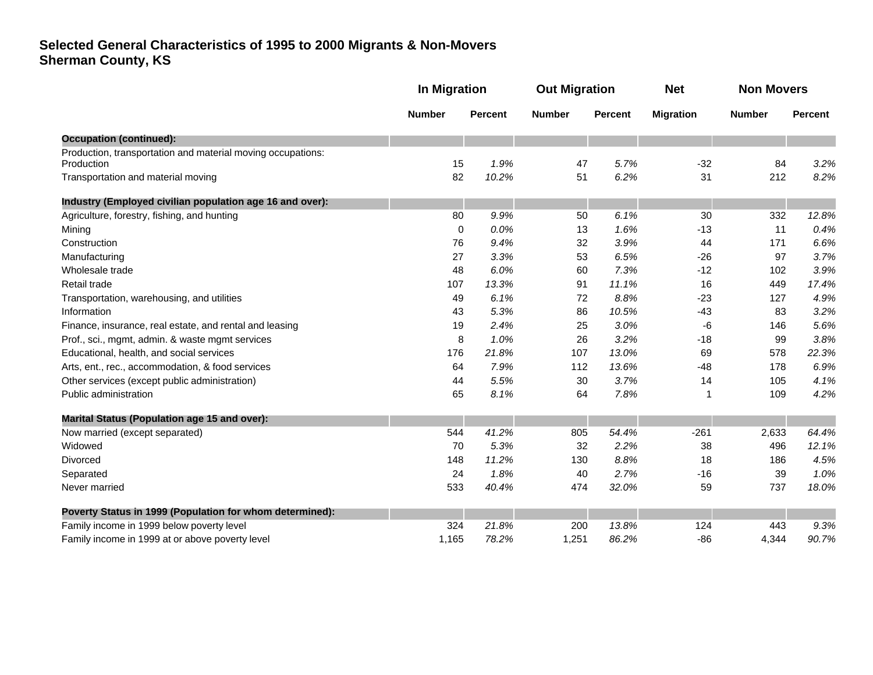|                                                             | In Migration  |                | <b>Out Migration</b> |                | <b>Net</b>       | <b>Non Movers</b> |                |
|-------------------------------------------------------------|---------------|----------------|----------------------|----------------|------------------|-------------------|----------------|
|                                                             | <b>Number</b> | <b>Percent</b> | <b>Number</b>        | <b>Percent</b> | <b>Migration</b> | <b>Number</b>     | <b>Percent</b> |
| <b>Occupation (continued):</b>                              |               |                |                      |                |                  |                   |                |
| Production, transportation and material moving occupations: |               |                |                      |                |                  | 84                |                |
| Production                                                  | 15            | 1.9%           | 47                   | 5.7%           | $-32$            |                   | 3.2%           |
| Transportation and material moving                          | 82            | 10.2%          | 51                   | 6.2%           | 31               | 212               | 8.2%           |
| Industry (Employed civilian population age 16 and over):    |               |                |                      |                |                  |                   |                |
| Agriculture, forestry, fishing, and hunting                 | 80            | 9.9%           | 50                   | 6.1%           | 30               | 332               | 12.8%          |
| Mining                                                      | 0             | 0.0%           | 13                   | 1.6%           | $-13$            | 11                | 0.4%           |
| Construction                                                | 76            | 9.4%           | 32                   | 3.9%           | 44               | 171               | 6.6%           |
| Manufacturing                                               | 27            | 3.3%           | 53                   | 6.5%           | $-26$            | 97                | 3.7%           |
| Wholesale trade                                             | 48            | 6.0%           | 60                   | 7.3%           | $-12$            | 102               | 3.9%           |
| Retail trade                                                | 107           | 13.3%          | 91                   | 11.1%          | 16               | 449               | 17.4%          |
| Transportation, warehousing, and utilities                  | 49            | 6.1%           | 72                   | 8.8%           | $-23$            | 127               | 4.9%           |
| Information                                                 | 43            | 5.3%           | 86                   | 10.5%          | $-43$            | 83                | 3.2%           |
| Finance, insurance, real estate, and rental and leasing     | 19            | 2.4%           | 25                   | 3.0%           | -6               | 146               | 5.6%           |
| Prof., sci., mgmt, admin. & waste mgmt services             | 8             | 1.0%           | 26                   | 3.2%           | $-18$            | 99                | 3.8%           |
| Educational, health, and social services                    | 176           | 21.8%          | 107                  | 13.0%          | 69               | 578               | 22.3%          |
| Arts, ent., rec., accommodation, & food services            | 64            | 7.9%           | 112                  | 13.6%          | $-48$            | 178               | 6.9%           |
| Other services (except public administration)               | 44            | 5.5%           | 30                   | 3.7%           | 14               | 105               | 4.1%           |
| Public administration                                       | 65            | 8.1%           | 64                   | 7.8%           | 1                | 109               | 4.2%           |
| <b>Marital Status (Population age 15 and over):</b>         |               |                |                      |                |                  |                   |                |
| Now married (except separated)                              | 544           | 41.2%          | 805                  | 54.4%          | $-261$           | 2,633             | 64.4%          |
| Widowed                                                     | 70            | 5.3%           | 32                   | 2.2%           | 38               | 496               | 12.1%          |
| <b>Divorced</b>                                             | 148           | 11.2%          | 130                  | 8.8%           | 18               | 186               | 4.5%           |
| Separated                                                   | 24            | 1.8%           | 40                   | 2.7%           | $-16$            | 39                | 1.0%           |
| Never married                                               | 533           | 40.4%          | 474                  | 32.0%          | 59               | 737               | 18.0%          |
| Poverty Status in 1999 (Population for whom determined):    |               |                |                      |                |                  |                   |                |
| Family income in 1999 below poverty level                   | 324           | 21.8%          | 200                  | 13.8%          | 124              | 443               | 9.3%           |
| Family income in 1999 at or above poverty level             | 1,165         | 78.2%          | 1,251                | 86.2%          | $-86$            | 4,344             | 90.7%          |